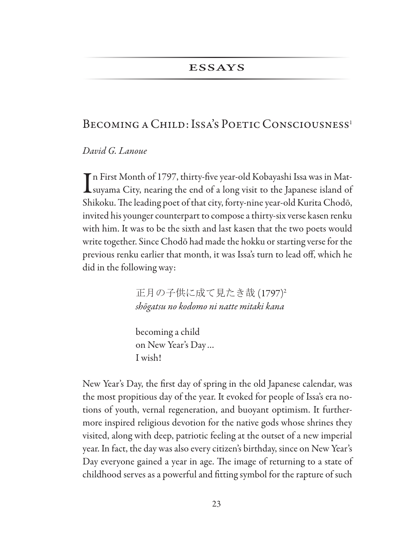### **ESSAYS**

# BECOMING A CHILD: ISSA'S POETIC CONSCIOUSNESS<sup>1</sup>

David G. Lanoue

Tn First Month of 1797, thirty-five year-old Kobayashi Issa was in Mat-Lsuyama City, nearing the end of a long visit to the Japanese island of Shikoku. The leading poet of that city, forty-nine year-old Kurita Chodō, invited his younger counterpart to compose a thirty-six verse kasen renku with him. It was to be the sixth and last kasen that the two poets would write together. Since Chodō had made the hokku or starting verse for the previous renku earlier that month, it was Issa's turn to lead off, which he did in the following way:

> 正月の子供に成て見たき哉 (1797)2 shōgatsu no kodomo ni natte mitaki kana

becoming a child on New Year's Day... I wish!

New Year's Day, the first day of spring in the old Japanese calendar, was the most propitious day of the year. It evoked for people of Issa's era notions of youth, vernal regeneration, and buoyant optimism. It furthermore inspired religious devotion for the native gods whose shrines they visited, along with deep, patriotic feeling at the outset of a new imperial year. In fact, the day was also every citizen's birthday, since on New Year's Day everyone gained a year in age. The image of returning to a state of childhood serves as a powerful and fitting symbol for the rapture of such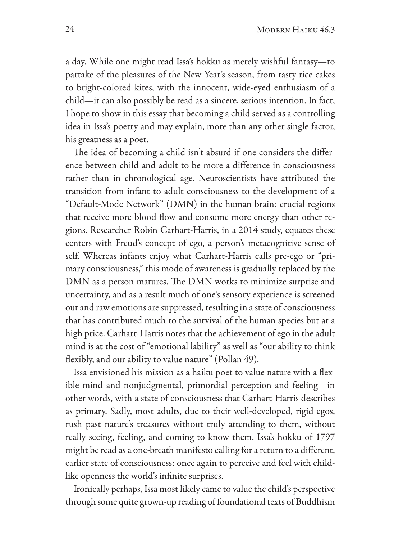a day. While one might read Issa's hokku as merely wishful fantasy—to partake of the pleasures of the New Year's season, from tasty rice cakes to bright-colored kites, with the innocent, wide-eyed enthusiasm of a child—it can also possibly be read as a sincere, serious intention. In fact, I hope to show in this essay that becoming a child served as a controlling idea in Issa's poetry and may explain, more than any other single factor, his greatness as a poet.

The idea of becoming a child isn't absurd if one considers the difference between child and adult to be more a difference in consciousness rather than in chronological age. Neuroscientists have attributed the transition from infant to adult consciousness to the development of a "Default-Mode Network" (DMN) in the human brain: crucial regions that receive more blood flow and consume more energy than other regions. Researcher Robin Carhart-Harris, in a 2014 study, equates these centers with Freud's concept of ego, a person's metacognitive sense of self. Whereas infants enjoy what Carhart-Harris calls pre-ego or "primary consciousness," this mode of awareness is gradually replaced by the DMN as a person matures. The DMN works to minimize surprise and uncertainty, and as a result much of one's sensory experience is screened out and raw emotions are suppressed, resulting in a state of consciousness that has contributed much to the survival of the human species but at a high price. Carhart-Harris notes that the achievement of ego in the adult mind is at the cost of "emotional lability" as well as "our ability to think flexibly, and our ability to value nature" (Pollan 49).

Issa envisioned his mission as a haiku poet to value nature with a flexible mind and nonjudgmental, primordial perception and feeling-in other words, with a state of consciousness that Carhart-Harris describes as primary. Sadly, most adults, due to their well-developed, rigid egos, rush past nature's treasures without truly attending to them, without really seeing, feeling, and coming to know them. Issa's hokku of 1797 might be read as a one-breath manifesto calling for a return to a different, earlier state of consciousness: once again to perceive and feel with childlike openness the world's infinite surprises.

Ironically perhaps, Issa most likely came to value the child's perspective through some quite grown-up reading of foundational texts of Buddhism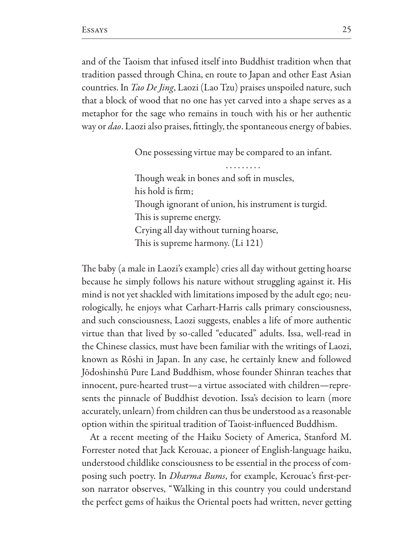and of the Taoism that infused itself into Buddhist tradition when that tradition passed through China, en route to Japan and other East Asian countries. In *Tao De Jing*, Laozi (Lao Tzu) praises unspoiled nature, such that a block of wood that no one has yet carved into a shape serves as a metaphor for the sage who remains in touch with his or her authentic way or *dao*. Laozi also praises, fittingly, the spontaneous energy of babies.

One possessing virtue may be compared to an infant.

Though weak in bones and soft in muscles, his hold is firm; Though ignorant of union, his instrument is turgid. This is supreme energy. Crying all day without turning hoarse, This is supreme harmony. (Li 121)

The baby (a male in Laozi's example) cries all day without getting hoarse because he simply follows his nature without struggling against it. His mind is not yet shackled with limitations imposed by the adult ego; neurologically, he enjoys what Carhart-Harris calls primary consciousness, and such consciousness, Laozi suggests, enables a life of more authentic virtue than that lived by so-called "educated" adults. Issa, well-read in the Chinese classics, must have been familiar with the writings of Laozi, known as Rōshi in Japan. In any case, he certainly knew and followed Jõdoshinshū Pure Land Buddhism, whose founder Shinran teaches that innocent, pure-hearted trust—a virtue associated with children—represents the pinnacle of Buddhist devotion. Issa's decision to learn (more accurately, unlearn) from children can thus be understood as a reasonable option within the spiritual tradition of Taoist-influenced Buddhism.

At a recent meeting of the Haiku Society of America, Stanford M. Forrester noted that Jack Kerouac, a pioneer of English-language haiku, understood childlike consciousness to be essential in the process of composing such poetry. In *Dharma Bums*, for example, Kerouac's first-person narrator observes, "Walking in this country you could understand the perfect gems of haikus the Oriental poets had written, never getting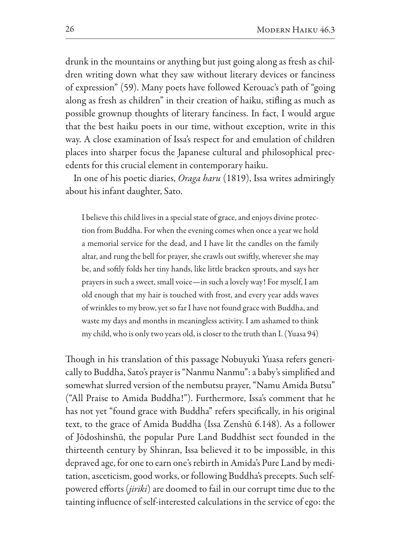drunk in the mountains or anything but just going along as fresh as children writing down what they saw without literary devices or fanciness of expression" (59). Many poets have followed Kerouac's path of "going" along as fresh as children" in their creation of haiku, stifling as much as possible grownup thoughts of literary fanciness. In fact, I would argue that the best haiku poets in our time, without exception, write in this way. A close examination of Issa's respect for and emulation of children places into sharper focus the Japanese cultural and philosophical precedents for this crucial element in contemporary haiku.

In one of his poetic diaries, *Oraga haru* (1819), Issa writes admiringly about his infant daughter, Sato.

I believe this child lives in a special state of grace, and enjoys divine protection from Buddha. For when the evening comes when once a year we hold a memorial service for the dead, and I have lit the candles on the family altar, and rung the bell for prayer, she crawls out swiftly, wherever she may be, and softly folds her tiny hands, like little bracken sprouts, and says her prayers in such a sweet, small voice-in such a lovely way! For myself, I am old enough that my hair is touched with frost, and every year adds waves of wrinkles to my brow, yet so far I have not found grace with Buddha, and waste my days and months in meaningless activity. I am ashamed to think my child, who is only two years old, is closer to the truth than I. (Yuasa 94)

Though in his translation of this passage Nobuyuki Yuasa refers generically to Buddha, Sato's prayer is "Nanmu Nanmu": a baby's simplified and somewhat slurred version of the nembutsu prayer, "Namu Amida Butsu" ("All Praise to Amida Buddha!"). Furthermore, Issa's comment that he has not yet "found grace with Buddha" refers specifically, in his original text, to the grace of Amida Buddha (Issa Zenshū 6.148). As a follower of Jōdoshinshū, the popular Pure Land Buddhist sect founded in the thirteenth century by Shinran, Issa believed it to be impossible, in this depraved age, for one to earn one's rebirth in Amida's Pure Land by meditation, asceticism, good works, or following Buddha's precepts. Such selfpowered efforts (jiriki) are doomed to fail in our corrupt time due to the tainting influence of self-interested calculations in the service of ego: the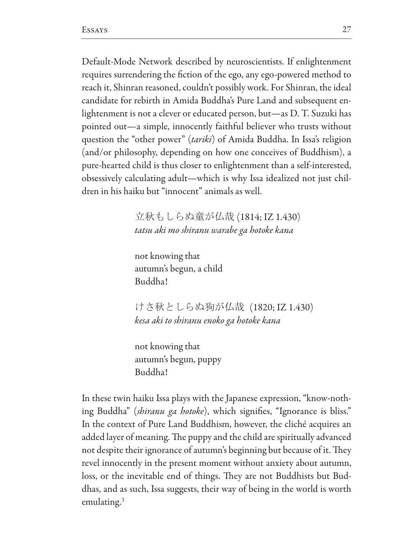Default-Mode Network described by neuroscientists. If enlightenment requires surrendering the fiction of the ego, any ego-powered method to reach it, Shinran reasoned, couldn't possibly work. For Shinran, the ideal candidate for rebirth in Amida Buddha's Pure Land and subsequent enlightenment is not a clever or educated person, but—as D. T. Suzuki has pointed out—a simple, innocently faithful believer who trusts without question the "other power" (tariki) of Amida Buddha. In Issa's religion (and/or philosophy, depending on how one conceives of Buddhism), a pure-hearted child is thus closer to enlightenment than a self-interested, obsessively calculating adult—which is why Issa idealized not just children in his haiku but "innocent" animals as well.

> 立秋もしらぬ童が仏哉 (1814; IZ 1.430) tatsu aki mo shiranu warabe ga hotoke kana

not knowing that autumn's begun, a child Buddha!

けさ秋としらぬ狗が仏哉(1820;IZ 1.430) kesa aki to shiranu enoko ga hotoke kana

not knowing that autumn's begun, puppy Buddha!

In these twin haiku Issa plays with the Japanese expression, "know-nothing Buddha" *(shiranu ga hotoke)*, which signifies, "Ignorance is bliss." In the context of Pure Land Buddhism, however, the cliché acquires an added layer of meaning. The puppy and the child are spiritually advanced not despite their ignorance of autumn's beginning but because of it. They revel innocently in the present moment without anxiety about autumn, loss, or the inevitable end of things. They are not Buddhists but Buddhas, and as such, Issa suggests, their way of being in the world is worth emulating. $3$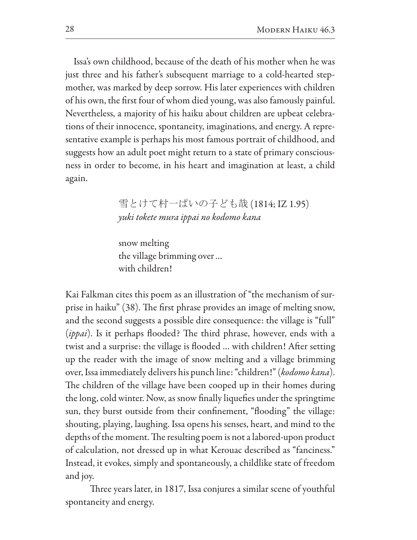Issa's own childhood, because of the death of his mother when he was just three and his father's subsequent marriage to a cold-hearted stepmother, was marked by deep sorrow. His later experiences with children of his own, the first four of whom died young, was also famously painful. Nevertheless, a majority of his haiku about children are upbeat celebrations of their innocence, spontaneity, imaginations, and energy. A representative example is perhaps his most famous portrait of childhood, and suggests how an adult poet might return to a state of primary consciousness in order to become, in his heart and imagination at least, a child again.

> 雪とけて村一ぱいの子ども哉 (1814; IZ 1.95) yuki tokete mura ippai no kodomo kana

snow melting the village brimming over... with children!

Kai Falkman cites this poem as an illustration of "the mechanism of surprise in haiku" (38). The first phrase provides an image of melting snow, and the second suggests a possible dire consequence: the village is "full" *(ippai)*. Is it perhaps flooded? The third phrase, however, ends with a twist and a surprise: the village is flooded ... with children! After setting up the reader with the image of snow melting and a village brimming over, Issa immediately delivers his punch line: "children!" (kodomo kana). The children of the village have been cooped up in their homes during the long, cold winter. Now, as snow finally liquefies under the springtime sun, they burst outside from their confinement, "flooding" the village: shouting, playing, laughing. Issa opens his senses, heart, and mind to the depths of the moment. The resulting poem is not a labored-upon product of calculation, not dressed up in what Kerouac described as "fanciness." Instead, it evokes, simply and spontaneously, a childlike state of freedom and joy.

Three years later, in 1817, Issa conjures a similar scene of youthful spontaneity and energy.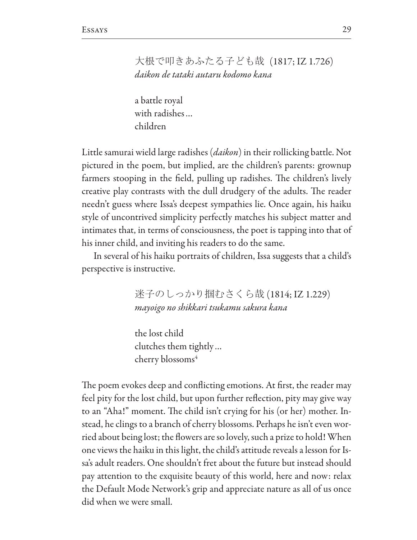## 大根で叩きあふたる子ども哉 (1817; IZ 1.726) daikon de tataki autaru kodomo kana

a battle royal with radishes... children

Little samurai wield large radishes (*daikon*) in their rollicking battle. Not pictured in the poem, but implied, are the children's parents: grownup farmers stooping in the field, pulling up radishes. The children's lively creative play contrasts with the dull drudgery of the adults. The reader needn't guess where Issa's deepest sympathies lie. Once again, his haiku style of uncontrived simplicity perfectly matches his subject matter and intimates that, in terms of consciousness, the poet is tapping into that of his inner child, and inviting his readers to do the same.

In several of his haiku portraits of children, Issa suggests that a child's perspective is instructive.

> 迷子のしっかり掴むさくら哉 (1814; IZ 1.229) mayoigo no shikkari tsukamu sakura kana

the lost child clutches them tightly... cherry blossoms<sup>4</sup>

The poem evokes deep and conflicting emotions. At first, the reader may feel pity for the lost child, but upon further reflection, pity may give way to an "Aha!" moment. The child isn't crying for his (or her) mother. Instead, he clings to a branch of cherry blossoms. Perhaps he isn't even worried about being lost; the flowers are so lovely, such a prize to hold! When one views the haiku in this light, the child's attitude reveals a lesson for Issa's adult readers. One shouldn't fret about the future but instead should pay attention to the exquisite beauty of this world, here and now: relax the Default Mode Network's grip and appreciate nature as all of us once did when we were small.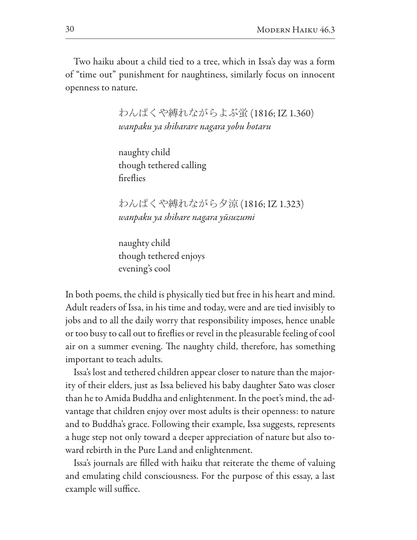Two haiku about a child tied to a tree, which in Issa's day was a form of "time out" punishment for naughtiness, similarly focus on innocent openness to nature.

> わんぱくや縛れながらよぶ蛍(1816; IZ 1.360) wanpaku ya shibarare nagara yobu hotaru

naughty child though tethered calling fireflies

わんぱくや縛れながら夕涼(1816; IZ 1.323) wanpaku ya shibare nagara yūsuzumi

naughty child though tethered enjoys evening's cool

In both poems, the child is physically tied but free in his heart and mind. Adult readers of Issa, in his time and today, were and are tied invisibly to jobs and to all the daily worry that responsibility imposes, hence unable or too busy to call out to fireflies or revel in the pleasurable feeling of cool air on a summer evening. The naughty child, therefore, has something important to teach adults.

Issa's lost and tethered children appear closer to nature than the majority of their elders, just as Issa believed his baby daughter Sato was closer than he to Amida Buddha and enlightenment. In the poet's mind, the advantage that children enjoy over most adults is their openness: to nature and to Buddha's grace. Following their example, Issa suggests, represents a huge step not only toward a deeper appreciation of nature but also toward rebirth in the Pure Land and enlightenment.

Issa's journals are filled with haiku that reiterate the theme of valuing and emulating child consciousness. For the purpose of this essay, a last example will suffice.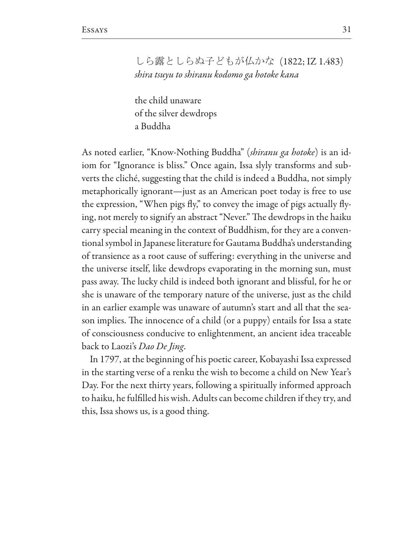しら露としらぬ子どもが仏かな (1822;IZ 1.483) shira tsuyu to shiranu kodomo ga hotoke kana

the child unaware of the silver dewdrops a Buddha

As noted earlier, "Know-Nothing Buddha" (shiranu ga hotoke) is an idiom for "Ignorance is bliss." Once again, Issa slyly transforms and subverts the cliché, suggesting that the child is indeed a Buddha, not simply metaphorically ignorant—just as an American poet today is free to use the expression, "When pigs fly," to convey the image of pigs actually flying, not merely to signify an abstract "Never." The dewdrops in the haiku carry special meaning in the context of Buddhism, for they are a conventional symbol in Japanese literature for Gautama Buddha's understanding of transience as a root cause of suffering: everything in the universe and the universe itself, like dewdrops evaporating in the morning sun, must pass away. The lucky child is indeed both ignorant and blissful, for he or she is unaware of the temporary nature of the universe, just as the child in an earlier example was unaware of autumn's start and all that the season implies. The innocence of a child (or a puppy) entails for Issa a state of consciousness conducive to enlightenment, an ancient idea traceable back to Laozi's *Dao De Jing*.

In 1797, at the beginning of his poetic career, Kobayashi Issa expressed in the starting verse of a renku the wish to become a child on New Year's Day. For the next thirty years, following a spiritually informed approach to haiku, he fulfilled his wish. Adults can become children if they try, and this, Issa shows us, is a good thing.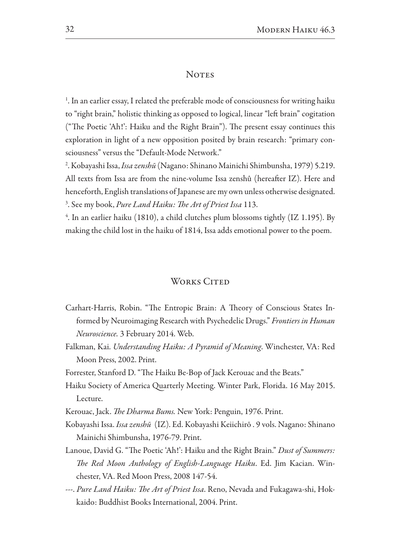#### **NOTES**

<sup>1</sup>. In an earlier essay, I related the preferable mode of consciousness for writing haiku to "right brain," holistic thinking as opposed to logical, linear "left brain" cogitation ("The Poetic 'Ah!': Haiku and the Right Brain"). The present essay continues this exploration in light of a new opposition posited by brain research: "primary consciousness" versus the "Default-Mode Network."

<sup>2</sup>. Kobayashi Issa, *Issa zenshū* (Nagano: Shinano Mainichi Shimbunsha, 1979) 5.219. All texts from Issa are from the nine-volume Issa zenshû (hereafter IZ). Here and henceforth, English translations of Japanese are my own unless otherwise designated. <sup>3</sup>. See my book, *Pure Land Haiku: The Art of Priest Issa* 113.

 $4$ . In an earlier haiku (1810), a child clutches plum blossoms tightly (IZ 1.195). By making the child lost in the haiku of 1814, Issa adds emotional power to the poem.

### **WORKS CITED**

- Carhart-Harris, Robin. "The Entropic Brain: A Theory of Conscious States Informed by Neuroimaging Research with Psychedelic Drugs." Frontiers in Human *Neuroscience.* 3 February 2014. Web.
- Falkman, Kai. *Understanding Haiku: A Pyramid of Meaning*. Winchester, VA: Red Moon Press, 2002. Print.
- Forrester, Stanford D. "The Haiku Be-Bop of Jack Kerouac and the Beats."
- Haiku Society of America Quarterly Meeting. Winter Park, Florida. 16 May 2015. Lecture.
- Kerouac, Jack. *The Dharma Bums*. New York: Penguin, 1976. Print.
- Kobayashi Issa. *Issa zenshū* (IZ). Ed. Kobayashi Keiichirō . 9 vols. Nagano: Shinano Mainichi Shimbunsha, 1976-79. Print.
- Lanoue, David G. "The Poetic 'Ah!': Haiku and the Right Brain." Dust of Summers: The Red Moon Anthology of English-Language Haiku. Ed. Jim Kacian. Winchester, VA. Red Moon Press, 2008 147-54.
- ---. Pure Land Haiku: The Art of Priest Issa. Reno, Nevada and Fukagawa-shi, Hokkaido: Buddhist Books International, 2004. Print.